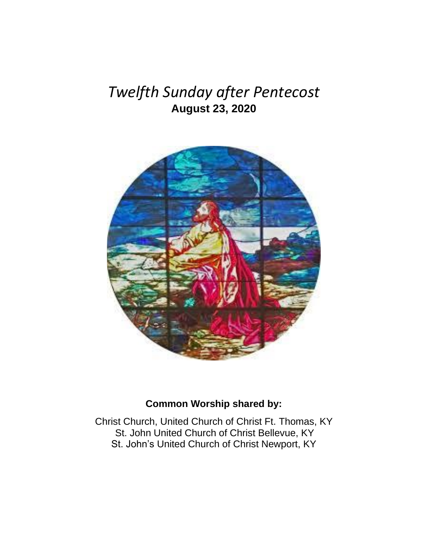# *Twelfth Sunday after Pentecost* **August 23, 2020**



## **Common Worship shared by:**

Christ Church, United Church of Christ Ft. Thomas, KY St. John United Church of Christ Bellevue, KY St. John's United Church of Christ Newport, KY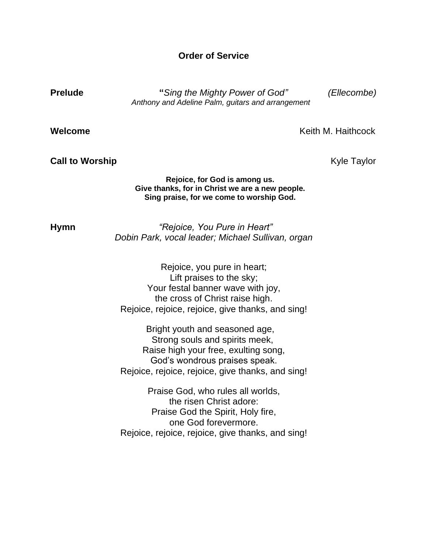### **Order of Service**

**Prelude "***Sing the Mighty Power of God" (Ellecombe) Anthony and Adeline Palm, guitars and arrangement* 

**Welcome** Keith M. Haithcock

#### **Call to Worship Call to Worship** *Call to Worship Kyle Taylor*

#### **Rejoice, for God is among us. Give thanks, for in Christ we are a new people. Sing praise, for we come to worship God.**

**Hymn** *"Rejoice, You Pure in Heart" Dobin Park, vocal leader; Michael Sullivan, organ*

> Rejoice, you pure in heart; Lift praises to the sky; Your festal banner wave with joy, the cross of Christ raise high. Rejoice, rejoice, rejoice, give thanks, and sing!

> Bright youth and seasoned age, Strong souls and spirits meek, Raise high your free, exulting song, God's wondrous praises speak. Rejoice, rejoice, rejoice, give thanks, and sing!

> Praise God, who rules all worlds, the risen Christ adore: Praise God the Spirit, Holy fire, one God forevermore. Rejoice, rejoice, rejoice, give thanks, and sing!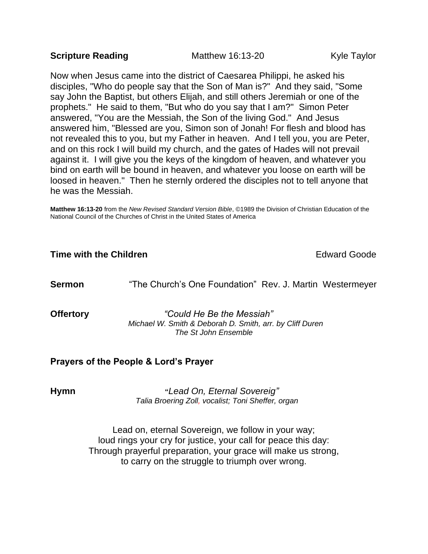### **Scripture Reading Taylor Matthew 16:13-20 Kyle Taylor**

Now when Jesus came into the district of Caesarea Philippi, he asked his disciples, "Who do people say that the Son of Man is?" And they said, "Some say John the Baptist, but others Elijah, and still others Jeremiah or one of the prophets." He said to them, "But who do you say that I am?" Simon Peter answered, "You are the Messiah, the Son of the living God." And Jesus answered him, "Blessed are you, Simon son of Jonah! For flesh and blood has not revealed this to you, but my Father in heaven. And I tell you, you are Peter, and on this rock I will build my church, and the gates of Hades will not prevail against it. I will give you the keys of the kingdom of heaven, and whatever you bind on earth will be bound in heaven, and whatever you loose on earth will be loosed in heaven." Then he sternly ordered the disciples not to tell anyone that he was the Messiah.

**Matthew 16:13-20** from the *New Revised Standard Version Bible*, ©1989 the Division of Christian Education of the National Council of the Churches of Christ in the United States of America

### **Time with the Children Edward Goode** Edward Goode

**Sermon** "The Church's One Foundation" Rev. J. Martin Westermeyer

**Offertory** *"Could He Be the Messiah" Michael W. Smith & Deborah D. Smith, arr. by Cliff Duren The St John Ensemble* 

### **Prayers of the People & Lord's Prayer**

**Hymn "***Lead On, Eternal Sovereig" Talia Broering Zoll, vocalist; Toni Sheffer, organ*

> Lead on, eternal Sovereign, we follow in your way; loud rings your cry for justice, your call for peace this day: Through prayerful preparation, your grace will make us strong, to carry on the struggle to triumph over wrong.